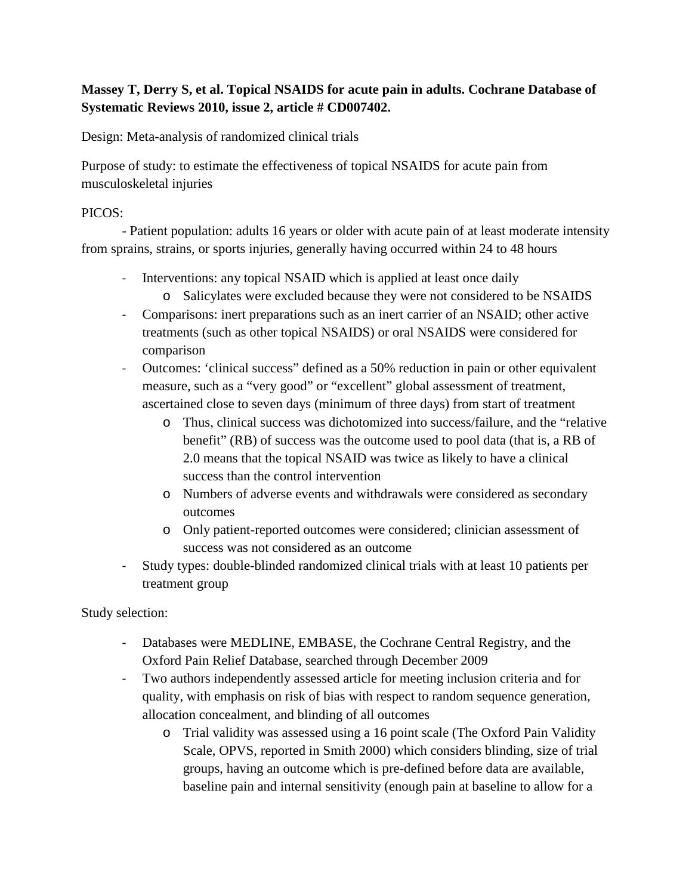# **Massey T, Derry S, et al. Topical NSAIDS for acute pain in adults. Cochrane Database of Systematic Reviews 2010, issue 2, article # CD007402.**

Design: Meta-analysis of randomized clinical trials

Purpose of study: to estimate the effectiveness of topical NSAIDS for acute pain from musculoskeletal injuries

### PICOS:

- Patient population: adults 16 years or older with acute pain of at least moderate intensity from sprains, strains, or sports injuries, generally having occurred within 24 to 48 hours

- Interventions: any topical NSAID which is applied at least once daily
	- o Salicylates were excluded because they were not considered to be NSAIDS
- Comparisons: inert preparations such as an inert carrier of an NSAID; other active treatments (such as other topical NSAIDS) or oral NSAIDS were considered for comparison
- Outcomes: 'clinical success" defined as a 50% reduction in pain or other equivalent measure, such as a "very good" or "excellent" global assessment of treatment, ascertained close to seven days (minimum of three days) from start of treatment
	- o Thus, clinical success was dichotomized into success/failure, and the "relative benefit" (RB) of success was the outcome used to pool data (that is, a RB of 2.0 means that the topical NSAID was twice as likely to have a clinical success than the control intervention
	- o Numbers of adverse events and withdrawals were considered as secondary outcomes
	- o Only patient-reported outcomes were considered; clinician assessment of success was not considered as an outcome
- Study types: double-blinded randomized clinical trials with at least 10 patients per treatment group

Study selection:

- Databases were MEDLINE, EMBASE, the Cochrane Central Registry, and the Oxford Pain Relief Database, searched through December 2009
- Two authors independently assessed article for meeting inclusion criteria and for quality, with emphasis on risk of bias with respect to random sequence generation, allocation concealment, and blinding of all outcomes
	- o Trial validity was assessed using a 16 point scale (The Oxford Pain Validity Scale, OPVS, reported in Smith 2000) which considers blinding, size of trial groups, having an outcome which is pre-defined before data are available, baseline pain and internal sensitivity (enough pain at baseline to allow for a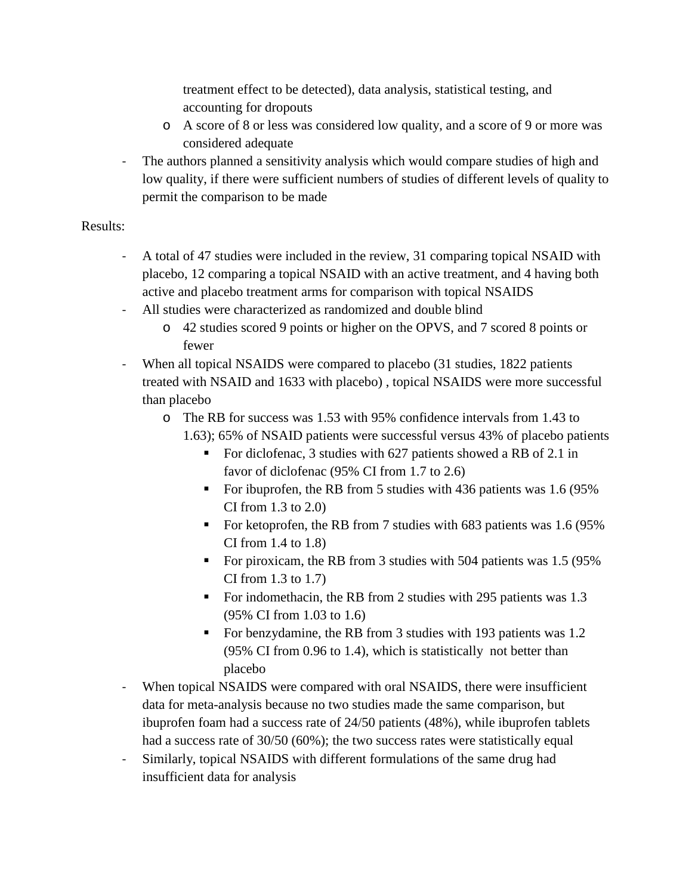treatment effect to be detected), data analysis, statistical testing, and accounting for dropouts

- o A score of 8 or less was considered low quality, and a score of 9 or more was considered adequate
- The authors planned a sensitivity analysis which would compare studies of high and low quality, if there were sufficient numbers of studies of different levels of quality to permit the comparison to be made

### Results:

- A total of 47 studies were included in the review, 31 comparing topical NSAID with placebo, 12 comparing a topical NSAID with an active treatment, and 4 having both active and placebo treatment arms for comparison with topical NSAIDS
- All studies were characterized as randomized and double blind
	- o 42 studies scored 9 points or higher on the OPVS, and 7 scored 8 points or fewer
- When all topical NSAIDS were compared to placebo (31 studies, 1822 patients treated with NSAID and 1633 with placebo) , topical NSAIDS were more successful than placebo
	- o The RB for success was 1.53 with 95% confidence intervals from 1.43 to 1.63); 65% of NSAID patients were successful versus 43% of placebo patients
		- For diclofenac, 3 studies with 627 patients showed a RB of 2.1 in favor of diclofenac (95% CI from 1.7 to 2.6)
		- For ibuprofen, the RB from 5 studies with 436 patients was 1.6 (95% CI from 1.3 to 2.0)
		- For ketoprofen, the RB from 7 studies with 683 patients was 1.6 (95%) CI from 1.4 to 1.8)
		- For piroxicam, the RB from 3 studies with 504 patients was  $1.5$  (95%) CI from 1.3 to 1.7)
		- For indomethacin, the RB from 2 studies with 295 patients was 1.3 (95% CI from 1.03 to 1.6)
		- For benzydamine, the RB from 3 studies with 193 patients was 1.2 (95% CI from 0.96 to 1.4), which is statistically not better than placebo
- When topical NSAIDS were compared with oral NSAIDS, there were insufficient data for meta-analysis because no two studies made the same comparison, but ibuprofen foam had a success rate of 24/50 patients (48%), while ibuprofen tablets had a success rate of 30/50 (60%); the two success rates were statistically equal
- Similarly, topical NSAIDS with different formulations of the same drug had insufficient data for analysis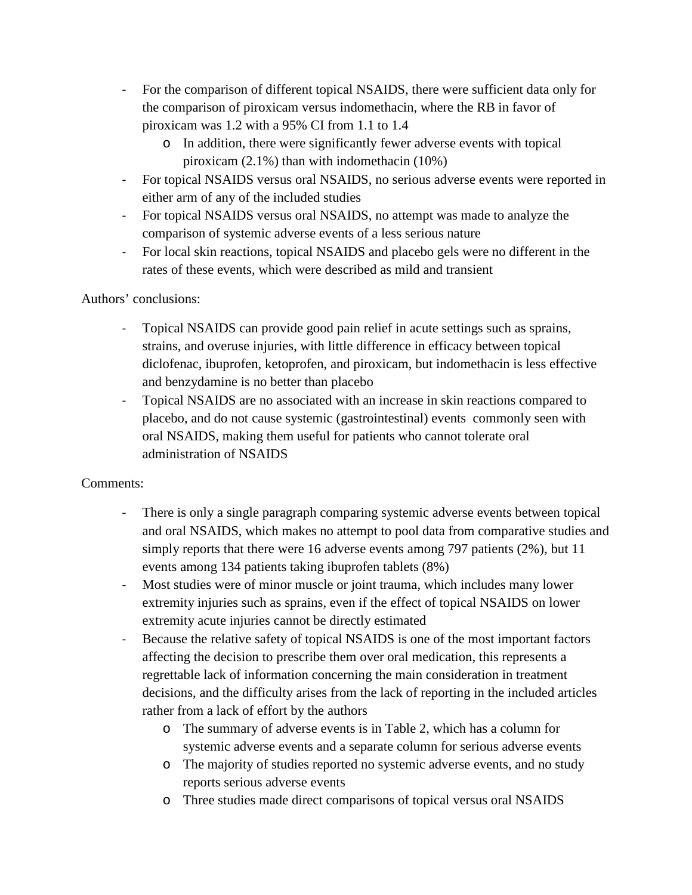- For the comparison of different topical NSAIDS, there were sufficient data only for the comparison of piroxicam versus indomethacin, where the RB in favor of piroxicam was 1.2 with a 95% CI from 1.1 to 1.4
	- o In addition, there were significantly fewer adverse events with topical piroxicam (2.1%) than with indomethacin (10%)
- For topical NSAIDS versus oral NSAIDS, no serious adverse events were reported in either arm of any of the included studies
- For topical NSAIDS versus oral NSAIDS, no attempt was made to analyze the comparison of systemic adverse events of a less serious nature
- For local skin reactions, topical NSAIDS and placebo gels were no different in the rates of these events, which were described as mild and transient

# Authors' conclusions:

- Topical NSAIDS can provide good pain relief in acute settings such as sprains, strains, and overuse injuries, with little difference in efficacy between topical diclofenac, ibuprofen, ketoprofen, and piroxicam, but indomethacin is less effective and benzydamine is no better than placebo
- Topical NSAIDS are no associated with an increase in skin reactions compared to placebo, and do not cause systemic (gastrointestinal) events commonly seen with oral NSAIDS, making them useful for patients who cannot tolerate oral administration of NSAIDS

# Comments:

- There is only a single paragraph comparing systemic adverse events between topical and oral NSAIDS, which makes no attempt to pool data from comparative studies and simply reports that there were 16 adverse events among 797 patients (2%), but 11 events among 134 patients taking ibuprofen tablets (8%)
- Most studies were of minor muscle or joint trauma, which includes many lower extremity injuries such as sprains, even if the effect of topical NSAIDS on lower extremity acute injuries cannot be directly estimated
- Because the relative safety of topical NSAIDS is one of the most important factors affecting the decision to prescribe them over oral medication, this represents a regrettable lack of information concerning the main consideration in treatment decisions, and the difficulty arises from the lack of reporting in the included articles rather from a lack of effort by the authors
	- o The summary of adverse events is in Table 2, which has a column for systemic adverse events and a separate column for serious adverse events
	- o The majority of studies reported no systemic adverse events, and no study reports serious adverse events
	- o Three studies made direct comparisons of topical versus oral NSAIDS